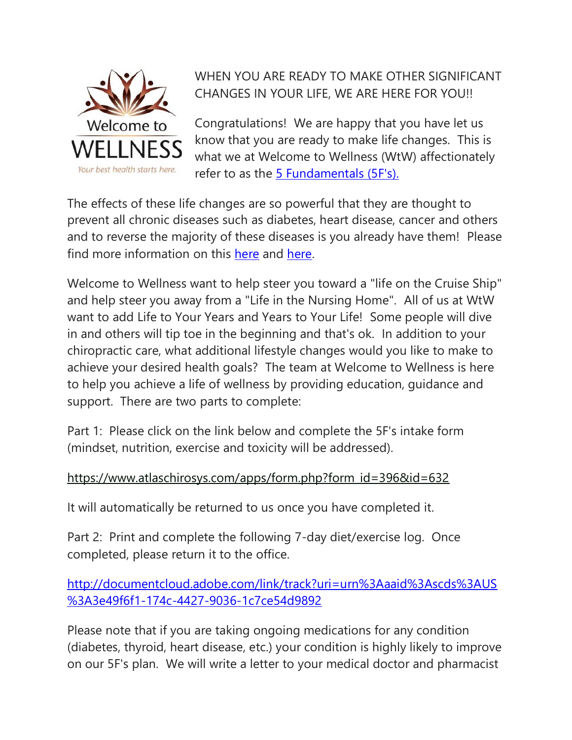

## WHEN YOU ARE READY TO MAKE OTHER SIGNIFICANT CHANGES IN YOUR LIFE, WE ARE HERE FOR YOU!!

Congratulations! We are happy that you have let us know that you are ready to make life changes. This is what we at Welcome to Wellness (WtW) affectionately refer to as the [5 Fundamentals \(5F's\).](https://www.welcometowellness.ca/5-fundamentals)

The effects of these life changes are so powerful that they are thought to prevent all chronic diseases such as diabetes, heart disease, cancer and others and to reverse the majority of these diseases is you already have them! Please find more information on this [here](https://www.ncbi.nlm.nih.gov/pubmed/29035175) and [here.](https://docs.wixstatic.com/ugd/deeb8b_60b653ca61c44aad8b917341c3c6ce2c.pdf)

Welcome to Wellness want to help steer you toward a "life on the Cruise Ship" and help steer you away from a "Life in the Nursing Home". All of us at WtW want to add Life to Your Years and Years to Your Life! Some people will dive in and others will tip toe in the beginning and that's ok. In addition to your chiropractic care, what additional lifestyle changes would you like to make to achieve your desired health goals? The team at Welcome to Wellness is here to help you achieve a life of wellness by providing education, guidance and support. There are two parts to complete:

Part 1: Please click on the link below and complete the 5F's intake form (mindset, nutrition, exercise and toxicity will be addressed).

## [https://www.atlaschirosys.com/apps/form.php?form\\_id=396&id=632](https://www.atlaschirosys.com/apps/form.php?form_id=396&id=632)

It will automatically be returned to us once you have completed it.

Part 2: Print and complete the following 7-day diet/exercise log. Once completed, please return it to the office.

[http://documentcloud.adobe.com/link/track?uri=urn%3Aaaid%3Ascds%3AUS](http://documentcloud.adobe.com/link/track?uri=urn%3Aaaid%3Ascds%3AUS%3A3e49f6f1-174c-4427-9036-1c7ce54d9892) [%3A3e49f6f1-174c-4427-9036-1c7ce54d9892](http://documentcloud.adobe.com/link/track?uri=urn%3Aaaid%3Ascds%3AUS%3A3e49f6f1-174c-4427-9036-1c7ce54d9892)

Please note that if you are taking ongoing medications for any condition (diabetes, thyroid, heart disease, etc.) your condition is highly likely to improve on our 5F's plan. We will write a letter to your medical doctor and pharmacist